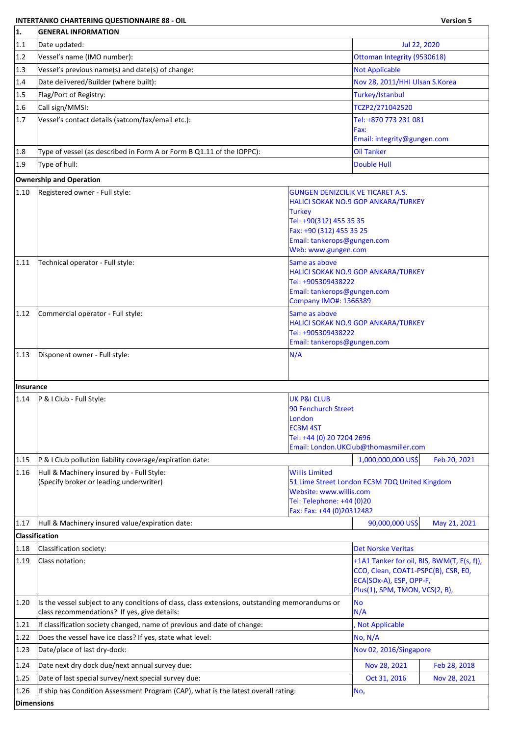## **INTERTANKO CHARTERING QUESTIONNAIRE 88 - OIL Version 5**

| 1.             | <b>GENERAL INFORMATION</b>                                                                                                                     |                                               |                                                                                   |              |  |
|----------------|------------------------------------------------------------------------------------------------------------------------------------------------|-----------------------------------------------|-----------------------------------------------------------------------------------|--------------|--|
| 1.1            | Date updated:                                                                                                                                  |                                               | Jul 22, 2020                                                                      |              |  |
| 1.2            | Vessel's name (IMO number):                                                                                                                    | Ottoman Integrity (9530618)                   |                                                                                   |              |  |
| 1.3            | Vessel's previous name(s) and date(s) of change:                                                                                               | <b>Not Applicable</b>                         |                                                                                   |              |  |
| 1.4            | Date delivered/Builder (where built):                                                                                                          | Nov 28, 2011/HHI Ulsan S.Korea                |                                                                                   |              |  |
| 1.5            | Flag/Port of Registry:                                                                                                                         |                                               | Turkey/Istanbul                                                                   |              |  |
| 1.6            | Call sign/MMSI:                                                                                                                                |                                               | TCZP2/271042520                                                                   |              |  |
| 1.7            | Vessel's contact details (satcom/fax/email etc.):                                                                                              |                                               | Tel: +870 773 231 081                                                             |              |  |
|                |                                                                                                                                                |                                               | Fax:                                                                              |              |  |
|                |                                                                                                                                                |                                               | Email: integrity@gungen.com                                                       |              |  |
| 1.8            | Type of vessel (as described in Form A or Form B Q1.11 of the IOPPC):                                                                          |                                               | <b>Oil Tanker</b>                                                                 |              |  |
| 1.9            | Type of hull:                                                                                                                                  |                                               | <b>Double Hull</b>                                                                |              |  |
|                | <b>Ownership and Operation</b>                                                                                                                 |                                               |                                                                                   |              |  |
| $ 1.10\rangle$ | Registered owner - Full style:                                                                                                                 | <b>GUNGEN DENIZCILIK VE TICARET A.S.</b>      |                                                                                   |              |  |
|                |                                                                                                                                                | <b>Turkey</b>                                 | <b>HALICI SOKAK NO.9 GOP ANKARA/TURKEY</b>                                        |              |  |
|                |                                                                                                                                                | Tel: +90(312) 455 35 35                       |                                                                                   |              |  |
|                |                                                                                                                                                | Fax: +90 (312) 455 35 25                      |                                                                                   |              |  |
|                |                                                                                                                                                | Email: tankerops@gungen.com                   |                                                                                   |              |  |
|                |                                                                                                                                                | Web: www.gungen.com                           |                                                                                   |              |  |
| 1.11           | Technical operator - Full style:                                                                                                               | Same as above                                 | HALICI SOKAK NO.9 GOP ANKARA/TURKEY                                               |              |  |
|                |                                                                                                                                                | Tel: +905309438222                            |                                                                                   |              |  |
|                |                                                                                                                                                | Email: tankerops@gungen.com                   |                                                                                   |              |  |
|                |                                                                                                                                                | <b>Company IMO#: 1366389</b>                  |                                                                                   |              |  |
| 1.12           | Commercial operator - Full style:                                                                                                              | Same as above                                 |                                                                                   |              |  |
|                |                                                                                                                                                | Tel: +905309438222                            | HALICI SOKAK NO.9 GOP ANKARA/TURKEY                                               |              |  |
|                |                                                                                                                                                | Email: tankerops@gungen.com                   |                                                                                   |              |  |
| 1.13           | Disponent owner - Full style:                                                                                                                  | N/A                                           |                                                                                   |              |  |
|                |                                                                                                                                                |                                               |                                                                                   |              |  |
|                |                                                                                                                                                |                                               |                                                                                   |              |  |
| Insurance      |                                                                                                                                                |                                               |                                                                                   |              |  |
| 1.14           | P & I Club - Full Style:                                                                                                                       | <b>UK P&amp;I CLUB</b><br>90 Fenchurch Street |                                                                                   |              |  |
|                |                                                                                                                                                | London                                        |                                                                                   |              |  |
|                |                                                                                                                                                | <b>EC3M 4ST</b>                               |                                                                                   |              |  |
|                |                                                                                                                                                | Tel: +44 (0) 20 7204 2696                     | Email: London.UKClub@thomasmiller.com                                             |              |  |
| 1.15           | P & I Club pollution liability coverage/expiration date:                                                                                       |                                               | 1,000,000,000 US\$                                                                | Feb 20, 2021 |  |
|                |                                                                                                                                                |                                               |                                                                                   |              |  |
| 1.16           | Hull & Machinery insured by - Full Style:<br>(Specify broker or leading underwriter)                                                           | <b>Willis Limited</b>                         | 51 Lime Street London EC3M 7DQ United Kingdom                                     |              |  |
|                |                                                                                                                                                | Website: www.willis.com                       |                                                                                   |              |  |
|                |                                                                                                                                                | Tel: Telephone: +44 (0)20                     |                                                                                   |              |  |
|                |                                                                                                                                                | Fax: Fax: +44 (0)20312482                     |                                                                                   |              |  |
| 1.17           | Hull & Machinery insured value/expiration date:                                                                                                |                                               | 90,000,000 US\$                                                                   | May 21, 2021 |  |
|                | Classification                                                                                                                                 |                                               |                                                                                   |              |  |
| 1.18           | Classification society:                                                                                                                        |                                               | <b>Det Norske Veritas</b>                                                         |              |  |
| 1.19           | Class notation:                                                                                                                                |                                               | +1A1 Tanker for oil, BIS, BWM(T, E(s, f)),<br>CCO, Clean, COAT1-PSPC(B), CSR, E0, |              |  |
|                |                                                                                                                                                |                                               | ECA(SOx-A), ESP, OPP-F,                                                           |              |  |
|                |                                                                                                                                                |                                               | Plus(1), SPM, TMON, VCS(2, B),                                                    |              |  |
| 1.20           | Is the vessel subject to any conditions of class, class extensions, outstanding memorandums or<br>class recommendations? If yes, give details: |                                               | No<br>N/A                                                                         |              |  |
| 1.21           | If classification society changed, name of previous and date of change:                                                                        |                                               | Not Applicable                                                                    |              |  |
| 1.22           | Does the vessel have ice class? If yes, state what level:                                                                                      |                                               | No, N/A                                                                           |              |  |
| 1.23           | Date/place of last dry-dock:                                                                                                                   |                                               | Nov 02, 2016/Singapore                                                            |              |  |
| 1.24           | Date next dry dock due/next annual survey due:                                                                                                 |                                               | Nov 28, 2021                                                                      | Feb 28, 2018 |  |
| 1.25           | Date of last special survey/next special survey due:                                                                                           |                                               | Oct 31, 2016                                                                      | Nov 28, 2021 |  |
| 1.26           | If ship has Condition Assessment Program (CAP), what is the latest overall rating:                                                             |                                               | No,                                                                               |              |  |
| Dimensions     |                                                                                                                                                |                                               |                                                                                   |              |  |
|                |                                                                                                                                                |                                               |                                                                                   |              |  |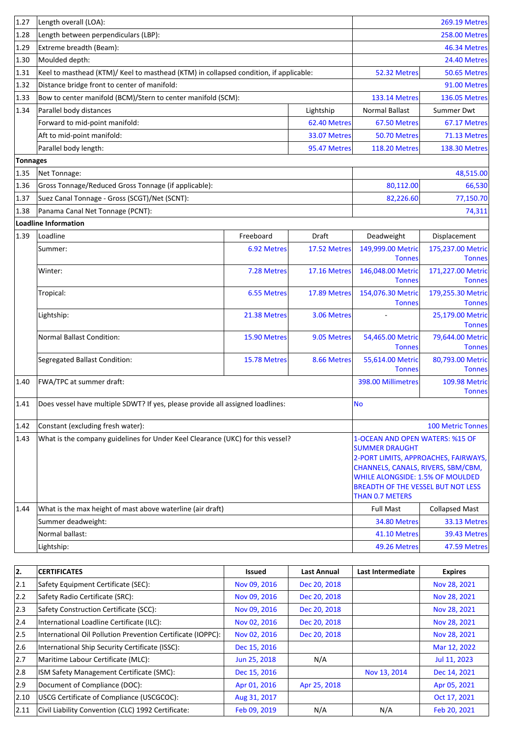| 1.27            | Length overall (LOA):                                                                 |                                                                                      |              | <b>269.19 Metres</b>                                     |                                    |
|-----------------|---------------------------------------------------------------------------------------|--------------------------------------------------------------------------------------|--------------|----------------------------------------------------------|------------------------------------|
| 1.28            | Length between perpendiculars (LBP):                                                  | <b>258.00 Metres</b>                                                                 |              |                                                          |                                    |
| 1.29            | Extreme breadth (Beam):                                                               |                                                                                      | 46.34 Metres |                                                          |                                    |
| 1.30            | Moulded depth:                                                                        |                                                                                      |              |                                                          | 24.40 Metres                       |
| 1.31            | Keel to masthead (KTM)/ Keel to masthead (KTM) in collapsed condition, if applicable: |                                                                                      |              | 52.32 Metres                                             | 50.65 Metres                       |
| 1.32            | Distance bridge front to center of manifold:                                          |                                                                                      |              |                                                          | 91.00 Metres                       |
| 1.33            | Bow to center manifold (BCM)/Stern to center manifold (SCM):                          |                                                                                      |              | <b>133.14 Metres</b>                                     | <b>136.05 Metres</b>               |
| 1.34            | Parallel body distances                                                               |                                                                                      | Lightship    | <b>Normal Ballast</b>                                    | Summer Dwt                         |
|                 | Forward to mid-point manifold:                                                        |                                                                                      | 62.40 Metres | 67.50 Metres                                             | 67.17 Metres                       |
|                 | Aft to mid-point manifold:                                                            |                                                                                      | 33.07 Metres | 50.70 Metres                                             | 71.13 Metres                       |
|                 | Parallel body length:                                                                 |                                                                                      | 95.47 Metres | <b>118.20 Metres</b>                                     | <b>138.30 Metres</b>               |
| <b>Tonnages</b> |                                                                                       |                                                                                      |              |                                                          |                                    |
| 1.35            | Net Tonnage:                                                                          |                                                                                      |              |                                                          | 48,515.00                          |
| 1.36            | Gross Tonnage/Reduced Gross Tonnage (if applicable):                                  |                                                                                      |              | 80,112.00                                                | 66,530                             |
| 1.37            | Suez Canal Tonnage - Gross (SCGT)/Net (SCNT):                                         |                                                                                      |              | 82,226.60                                                | 77,150.70                          |
| 1.38            | Panama Canal Net Tonnage (PCNT):                                                      |                                                                                      |              |                                                          | 74,311                             |
|                 | Loadline Information                                                                  |                                                                                      |              |                                                          |                                    |
| 1.39            | Loadline                                                                              | Freeboard                                                                            | Draft        | Deadweight                                               | Displacement                       |
|                 | Summer:                                                                               | 6.92 Metres                                                                          | 17.52 Metres | 149,999.00 Metric                                        | 175,237.00 Metric                  |
|                 |                                                                                       |                                                                                      |              | <b>Tonnes</b>                                            | <b>Tonnes</b>                      |
|                 | Winter:                                                                               | 7.28 Metres                                                                          | 17.16 Metres | 146,048.00 Metric<br><b>Tonnes</b>                       | 171,227.00 Metric<br><b>Tonnes</b> |
|                 | Tropical:                                                                             | 6.55 Metres                                                                          | 17.89 Metres | 154,076.30 Metric                                        | 179,255.30 Metric                  |
|                 |                                                                                       |                                                                                      |              | <b>Tonnes</b>                                            | <b>Tonnes</b>                      |
|                 | Lightship:                                                                            | 21.38 Metres                                                                         | 3.06 Metres  |                                                          | 25,179.00 Metric                   |
|                 |                                                                                       |                                                                                      |              |                                                          | <b>Tonnes</b>                      |
|                 | <b>Normal Ballast Condition:</b>                                                      | 15.90 Metres                                                                         | 9.05 Metres  | 54,465.00 Metric                                         | 79,644.00 Metric                   |
|                 |                                                                                       |                                                                                      |              | <b>Tonnes</b>                                            | <b>Tonnes</b>                      |
|                 | Segregated Ballast Condition:                                                         | 15.78 Metres                                                                         | 8.66 Metres  | 55,614.00 Metric<br><b>Tonnes</b>                        | 80,793.00 Metric<br><b>Tonnes</b>  |
| 1.40            | FWA/TPC at summer draft:                                                              |                                                                                      |              | 398.00 Millimetres                                       | <b>109.98 Metric</b>               |
|                 |                                                                                       |                                                                                      |              |                                                          | <b>Tonnes</b>                      |
| 1.41            | Does vessel have multiple SDWT? If yes, please provide all assigned loadlines:        |                                                                                      |              | <b>No</b>                                                |                                    |
|                 |                                                                                       |                                                                                      |              |                                                          |                                    |
| 1.42            | Constant (excluding fresh water):                                                     |                                                                                      |              |                                                          | <b>100 Metric Tonnes</b>           |
| 1.43            | What is the company guidelines for Under Keel Clearance (UKC) for this vessel?        |                                                                                      |              | 1-OCEAN AND OPEN WATERS: %15 OF<br><b>SUMMER DRAUGHT</b> |                                    |
|                 |                                                                                       | 2-PORT LIMITS, APPROACHES, FAIRWAYS,                                                 |              |                                                          |                                    |
|                 |                                                                                       | CHANNELS, CANALS, RIVERS, SBM/CBM,                                                   |              |                                                          |                                    |
|                 |                                                                                       | <b>WHILE ALONGSIDE: 1.5% OF MOULDED</b><br><b>BREADTH OF THE VESSEL BUT NOT LESS</b> |              |                                                          |                                    |
|                 |                                                                                       | <b>THAN 0.7 METERS</b>                                                               |              |                                                          |                                    |
| 1.44            | What is the max height of mast above waterline (air draft)                            |                                                                                      |              | <b>Full Mast</b>                                         | <b>Collapsed Mast</b>              |
|                 | Summer deadweight:                                                                    |                                                                                      |              | 34.80 Metres                                             | 33.13 Metres                       |
|                 | Normal ballast:                                                                       |                                                                                      |              | 41.10 Metres                                             | 39.43 Metres                       |
|                 | Lightship:                                                                            |                                                                                      |              | 49.26 Metres                                             | 47.59 Metres                       |

| 2.            | <b>CERTIFICATES</b>                                         | <b>Issued</b> | Last Annual  | Last Intermediate | <b>Expires</b> |
|---------------|-------------------------------------------------------------|---------------|--------------|-------------------|----------------|
| 2.1           | Safety Equipment Certificate (SEC):                         | Nov 09, 2016  | Dec 20, 2018 |                   | Nov 28, 2021   |
| $ 2.2\rangle$ | Safety Radio Certificate (SRC):                             | Nov 09, 2016  | Dec 20, 2018 |                   | Nov 28, 2021   |
| $ 2.3\rangle$ | Safety Construction Certificate (SCC):                      | Nov 09, 2016  | Dec 20, 2018 |                   | Nov 28, 2021   |
| 2.4           | International Loadline Certificate (ILC):                   | Nov 02, 2016  | Dec 20, 2018 |                   | Nov 28, 2021   |
| 2.5           | International Oil Pollution Prevention Certificate (IOPPC): | Nov 02, 2016  | Dec 20, 2018 |                   | Nov 28, 2021   |
| 2.6           | International Ship Security Certificate (ISSC):             | Dec 15, 2016  |              |                   | Mar 12, 2022   |
| 2.7           | Maritime Labour Certificate (MLC):                          | Jun 25, 2018  | N/A          |                   | Jul 11, 2023   |
| 12.8          | ISM Safety Management Certificate (SMC):                    | Dec 15, 2016  |              | Nov 13, 2014      | Dec 14, 2021   |
| 2.9           | Document of Compliance (DOC):                               | Apr 01, 2016  | Apr 25, 2018 |                   | Apr 05, 2021   |
| 2.10          | USCG Certificate of Compliance (USCGCOC):                   | Aug 31, 2017  |              |                   | Oct 17, 2021   |
| 2.11          | Civil Liability Convention (CLC) 1992 Certificate:          | Feb 09, 2019  | N/A          | N/A               | Feb 20, 2021   |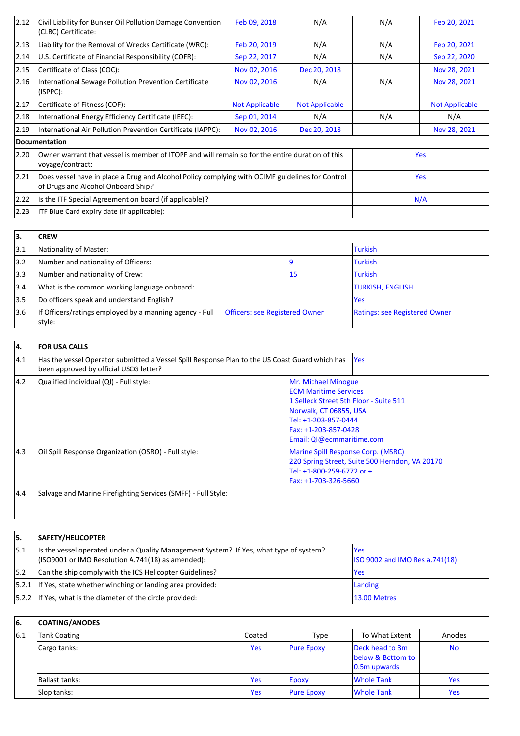| 2.12           | Civil Liability for Bunker Oil Pollution Damage Convention<br>(CLBC) Certificate:                                                     | Feb 09, 2018          | N/A                   | N/A | Feb 20, 2021          |
|----------------|---------------------------------------------------------------------------------------------------------------------------------------|-----------------------|-----------------------|-----|-----------------------|
| $ 2.13\rangle$ | Liability for the Removal of Wrecks Certificate (WRC):                                                                                | Feb 20, 2019          | N/A                   | N/A | Feb 20, 2021          |
| 2.14           | U.S. Certificate of Financial Responsibility (COFR):                                                                                  | Sep 22, 2017          | N/A                   | N/A | Sep 22, 2020          |
| 2.15           | Certificate of Class (COC):                                                                                                           | Nov 02, 2016          | Dec 20, 2018          |     | Nov 28, 2021          |
| 2.16           | International Sewage Pollution Prevention Certificate<br>(ISPPC):                                                                     | Nov 02, 2016          | N/A                   | N/A | Nov 28, 2021          |
| 2.17           | Certificate of Fitness (COF):                                                                                                         | <b>Not Applicable</b> | <b>Not Applicable</b> |     | <b>Not Applicable</b> |
| 2.18           | International Energy Efficiency Certificate (IEEC):                                                                                   | Sep 01, 2014          | N/A                   | N/A | N/A                   |
| $ 2.19\rangle$ | International Air Pollution Prevention Certificate (IAPPC):                                                                           | Nov 02, 2016          | Dec 20, 2018          |     | Nov 28, 2021          |
|                | Documentation                                                                                                                         |                       |                       |     |                       |
| 2.20           | Owner warrant that vessel is member of ITOPF and will remain so for the entire duration of this<br>voyage/contract:                   |                       |                       |     | <b>Yes</b>            |
| 2.21           | Does vessel have in place a Drug and Alcohol Policy complying with OCIMF guidelines for Control<br>of Drugs and Alcohol Onboard Ship? |                       |                       |     | <b>Yes</b>            |
| 2.22           | Is the ITF Special Agreement on board (if applicable)?                                                                                |                       |                       |     | N/A                   |
| 2.23           | <b>ITF Blue Card expiry date (if applicable):</b>                                                                                     |                       |                       |     |                       |

| 13.  | <b>CREW</b>                                                                                                |  |                               |                         |
|------|------------------------------------------------------------------------------------------------------------|--|-------------------------------|-------------------------|
| 13.1 | Nationality of Master:                                                                                     |  |                               | <b>Turkish</b>          |
| 3.2  | Number and nationality of Officers:                                                                        |  |                               | <b>Turkish</b>          |
| 3.3  | Number and nationality of Crew:<br>15                                                                      |  |                               | <b>Turkish</b>          |
| 3.4  | What is the common working language onboard:                                                               |  |                               | <b>TURKISH, ENGLISH</b> |
| 3.5  | Do officers speak and understand English?                                                                  |  |                               | <b>Yes</b>              |
| 13.6 | If Officers/ratings employed by a manning agency - Full<br><b>Officers: see Registered Owner</b><br>style: |  | Ratings: see Registered Owner |                         |

| 4.            | <b>FOR USA CALLS</b>                                                                                                                     |                                                                                                                                                                                                      |
|---------------|------------------------------------------------------------------------------------------------------------------------------------------|------------------------------------------------------------------------------------------------------------------------------------------------------------------------------------------------------|
| $ 4.1\rangle$ | Has the vessel Operator submitted a Vessel Spill Response Plan to the US Coast Guard which has<br>been approved by official USCG letter? | <b>Yes</b>                                                                                                                                                                                           |
| $ 4.2\rangle$ | Qualified individual (QI) - Full style:                                                                                                  | Mr. Michael Minogue<br><b>ECM Maritime Services</b><br>1 Selleck Street 5th Floor - Suite 511<br>Norwalk, CT 06855, USA<br>Tel: +1-203-857-0444<br>Fax: +1-203-857-0428<br>Email: QI@ecmmaritime.com |
| 4.3           | Oil Spill Response Organization (OSRO) - Full style:                                                                                     | Marine Spill Response Corp. (MSRC)<br>220 Spring Street, Suite 500 Herndon, VA 20170<br>Tel: +1-800-259-6772 or +<br>Fax: +1-703-326-5660                                                            |
| 4.4           | Salvage and Marine Firefighting Services (SMFF) - Full Style:                                                                            |                                                                                                                                                                                                      |

| 5.   | SAFETY/HELICOPTER                                                                                                                               |                                               |
|------|-------------------------------------------------------------------------------------------------------------------------------------------------|-----------------------------------------------|
| 5.1، | Its the vessel operated under a Quality Management System? If Yes, what type of system?<br>$($ ISO9001 or IMO Resolution A.741(18) as amended): | lYes<br><b>ISO 9002 and IMO Res a.741(18)</b> |
| 5.2  | Can the ship comply with the ICS Helicopter Guidelines?                                                                                         | lYes                                          |
|      | $ 5.2.1 $ If Yes, state whether winching or landing area provided:                                                                              | Landing                                       |
|      | 5.2.2 If Yes, what is the diameter of the circle provided:                                                                                      | 13.00 Metres                                  |

| l6. | <b>COATING/ANODES</b> |            |                   |                                                         |           |
|-----|-----------------------|------------|-------------------|---------------------------------------------------------|-----------|
| 6.1 | Tank Coating          | Coated     | Type              | To What Extent                                          | Anodes    |
|     | Cargo tanks:          | <b>Yes</b> | <b>Pure Epoxy</b> | Deck head to 3m<br>below & Bottom to<br>$ 0.5m$ upwards | <b>No</b> |
|     | Ballast tanks:        | <b>Yes</b> | <b>Epoxy</b>      | <b>Whole Tank</b>                                       | Yes.      |
|     | Slop tanks:           | <b>Yes</b> | <b>Pure Epoxy</b> | <b>Whole Tank</b>                                       | Yes       |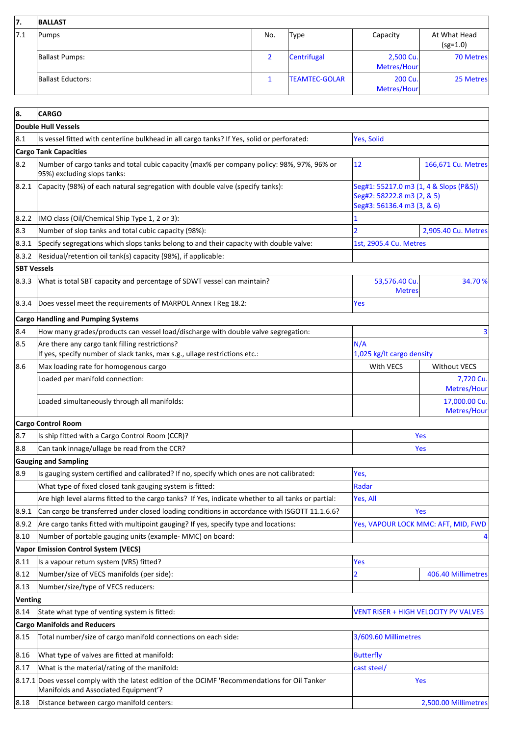| 17.  | <b>BALLAST</b>    |     |                      |                          |                            |
|------|-------------------|-----|----------------------|--------------------------|----------------------------|
| 17.1 | Pumps             | No. | <b>Type</b>          | Capacity                 | At What Head<br>$(sg=1.0)$ |
|      | Ballast Pumps:    |     | Centrifugal          | 2,500 Cu.<br>Metres/Hour | 70 Metres                  |
|      | Ballast Eductors: |     | <b>TEAMTEC-GOLAR</b> | 200 Cu.<br>Metres/Hour   | 25 Metres                  |

| 8.                 | <b>CARGO</b>                                                                                                                           |                                                                                                    |                                     |
|--------------------|----------------------------------------------------------------------------------------------------------------------------------------|----------------------------------------------------------------------------------------------------|-------------------------------------|
|                    | <b>Double Hull Vessels</b>                                                                                                             |                                                                                                    |                                     |
| 8.1                | Is vessel fitted with centerline bulkhead in all cargo tanks? If Yes, solid or perforated:                                             | Yes, Solid                                                                                         |                                     |
|                    | <b>Cargo Tank Capacities</b>                                                                                                           |                                                                                                    |                                     |
| 8.2                | Number of cargo tanks and total cubic capacity (max% per company policy: 98%, 97%, 96% or<br>95%) excluding slops tanks:               | 12                                                                                                 | 166,671 Cu. Metres                  |
| 8.2.1              | Capacity (98%) of each natural segregation with double valve (specify tanks):                                                          | Seg#1: 55217.0 m3 (1, 4 & Slops (P&S))<br>Seg#2: 58222.8 m3 (2, & 5)<br>Seg#3: 56136.4 m3 (3, & 6) |                                     |
| 8.2.2              | IMO class (Oil/Chemical Ship Type 1, 2 or 3):                                                                                          |                                                                                                    |                                     |
| 8.3                | Number of slop tanks and total cubic capacity (98%):                                                                                   | $\overline{2}$                                                                                     | 2,905.40 Cu. Metres                 |
| 8.3.1              | Specify segregations which slops tanks belong to and their capacity with double valve:                                                 | 1st, 2905.4 Cu. Metres                                                                             |                                     |
| 8.3.2              | Residual/retention oil tank(s) capacity (98%), if applicable:                                                                          |                                                                                                    |                                     |
| <b>SBT Vessels</b> |                                                                                                                                        |                                                                                                    |                                     |
| 8.3.3              | What is total SBT capacity and percentage of SDWT vessel can maintain?                                                                 | 53,576.40 Cu.<br><b>Metres</b>                                                                     | 34.70 %                             |
| 8.3.4              | Does vessel meet the requirements of MARPOL Annex I Reg 18.2:                                                                          | Yes                                                                                                |                                     |
|                    | <b>Cargo Handling and Pumping Systems</b>                                                                                              |                                                                                                    |                                     |
| 8.4                | How many grades/products can vessel load/discharge with double valve segregation:                                                      |                                                                                                    | з                                   |
| 8.5                | Are there any cargo tank filling restrictions?<br>If yes, specify number of slack tanks, max s.g., ullage restrictions etc.:           | N/A<br>1,025 kg/lt cargo density                                                                   |                                     |
| 8.6                | Max loading rate for homogenous cargo                                                                                                  | With VECS                                                                                          | <b>Without VECS</b>                 |
|                    | Loaded per manifold connection:                                                                                                        |                                                                                                    | 7,720 Cu.<br>Metres/Hour            |
|                    | Loaded simultaneously through all manifolds:                                                                                           |                                                                                                    | 17,000.00 Cu.<br>Metres/Hour        |
|                    | <b>Cargo Control Room</b>                                                                                                              |                                                                                                    |                                     |
| 8.7                | Is ship fitted with a Cargo Control Room (CCR)?                                                                                        |                                                                                                    | Yes                                 |
| 8.8                | Can tank innage/ullage be read from the CCR?                                                                                           |                                                                                                    | Yes                                 |
|                    | <b>Gauging and Sampling</b>                                                                                                            |                                                                                                    |                                     |
| 8.9                | Is gauging system certified and calibrated? If no, specify which ones are not calibrated:                                              | Yes,                                                                                               |                                     |
|                    | What type of fixed closed tank gauging system is fitted:                                                                               | Radar                                                                                              |                                     |
|                    | Are high level alarms fitted to the cargo tanks? If Yes, indicate whether to all tanks or partial:                                     | Yes, All                                                                                           |                                     |
| 8.9.1              | Can cargo be transferred under closed loading conditions in accordance with ISGOTT 11.1.6.6?                                           |                                                                                                    | Yes                                 |
| 8.9.2              | Are cargo tanks fitted with multipoint gauging? If yes, specify type and locations:                                                    |                                                                                                    | Yes, VAPOUR LOCK MMC: AFT, MID, FWD |
| 8.10               | Number of portable gauging units (example- MMC) on board:                                                                              |                                                                                                    |                                     |
|                    | <b>Vapor Emission Control System (VECS)</b>                                                                                            |                                                                                                    |                                     |
| 8.11               | Is a vapour return system (VRS) fitted?                                                                                                | Yes                                                                                                |                                     |
| 8.12               | Number/size of VECS manifolds (per side):                                                                                              | $\overline{2}$                                                                                     | 406.40 Millimetres                  |
| 8.13               | Number/size/type of VECS reducers:                                                                                                     |                                                                                                    |                                     |
| <b>Venting</b>     |                                                                                                                                        |                                                                                                    |                                     |
| 8.14               | State what type of venting system is fitted:                                                                                           | <b>VENT RISER + HIGH VELOCITY PV VALVES</b>                                                        |                                     |
|                    | <b>Cargo Manifolds and Reducers</b>                                                                                                    |                                                                                                    |                                     |
| 8.15               | Total number/size of cargo manifold connections on each side:                                                                          | 3/609.60 Millimetres                                                                               |                                     |
| 8.16               | What type of valves are fitted at manifold:                                                                                            | <b>Butterfly</b>                                                                                   |                                     |
| 8.17               | What is the material/rating of the manifold:                                                                                           | cast steel/                                                                                        |                                     |
|                    | 8.17.1 Does vessel comply with the latest edition of the OCIMF 'Recommendations for Oil Tanker<br>Manifolds and Associated Equipment'? |                                                                                                    | Yes                                 |
| 8.18               | Distance between cargo manifold centers:                                                                                               |                                                                                                    | 2,500.00 Millimetres                |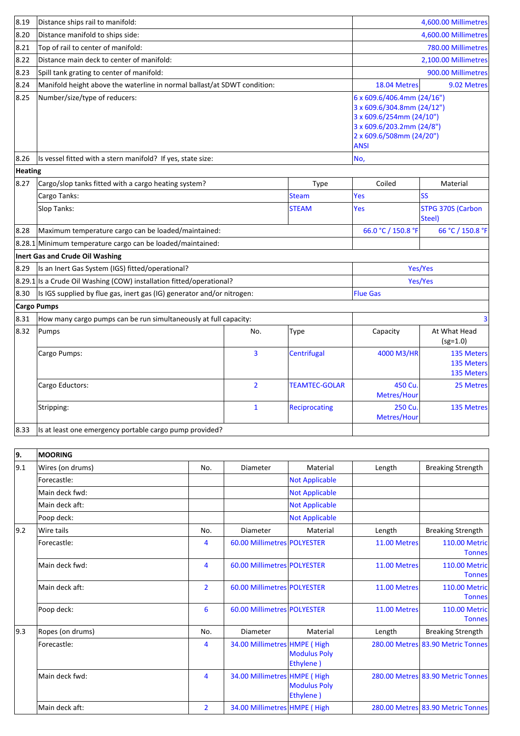| 8.19    | Distance ships rail to manifold:                                         |                |                      | 4,600.00 Millimetres                                                                                                                                         |                                        |
|---------|--------------------------------------------------------------------------|----------------|----------------------|--------------------------------------------------------------------------------------------------------------------------------------------------------------|----------------------------------------|
| 8.20    | Distance manifold to ships side:                                         |                |                      |                                                                                                                                                              | 4,600.00 Millimetres                   |
| 8.21    | Top of rail to center of manifold:                                       |                |                      |                                                                                                                                                              | 780.00 Millimetres                     |
| 8.22    | Distance main deck to center of manifold:                                |                |                      |                                                                                                                                                              | 2,100.00 Millimetres                   |
| 8.23    | Spill tank grating to center of manifold:                                |                | 900.00 Millimetres   |                                                                                                                                                              |                                        |
| 8.24    | Manifold height above the waterline in normal ballast/at SDWT condition: |                |                      | 18.04 Metres                                                                                                                                                 | 9.02 Metres                            |
| 8.25    | Number/size/type of reducers:                                            |                |                      | 6 x 609.6/406.4mm (24/16")<br>3 x 609.6/304.8mm (24/12")<br>3 x 609.6/254mm (24/10")<br>3 x 609.6/203.2mm (24/8")<br>2 x 609.6/508mm (24/20")<br><b>ANSI</b> |                                        |
| 8.26    | Is vessel fitted with a stern manifold? If yes, state size:              |                |                      | No,                                                                                                                                                          |                                        |
| Heating |                                                                          |                |                      |                                                                                                                                                              |                                        |
| 8.27    | Cargo/slop tanks fitted with a cargo heating system?                     |                | Type                 | Coiled                                                                                                                                                       | Material                               |
|         | Cargo Tanks:                                                             |                | <b>Steam</b>         | Yes                                                                                                                                                          | SS                                     |
|         | Slop Tanks:                                                              |                | <b>STEAM</b>         | Yes                                                                                                                                                          | <b>STPG 370S (Carbon</b><br>Steel)     |
| 8.28    | Maximum temperature cargo can be loaded/maintained:                      |                |                      | 66.0 °C / 150.8 °F                                                                                                                                           | 66 °C / 150.8 °F                       |
|         | 8.28.1 Minimum temperature cargo can be loaded/maintained:               |                |                      |                                                                                                                                                              |                                        |
|         | Inert Gas and Crude Oil Washing                                          |                |                      |                                                                                                                                                              |                                        |
| 8.29    | Is an Inert Gas System (IGS) fitted/operational?                         |                |                      | Yes/Yes                                                                                                                                                      |                                        |
|         | 8.29.1 Is a Crude Oil Washing (COW) installation fitted/operational?     |                |                      | Yes/Yes                                                                                                                                                      |                                        |
| 8.30    | Is IGS supplied by flue gas, inert gas (IG) generator and/or nitrogen:   |                |                      | <b>Flue Gas</b>                                                                                                                                              |                                        |
|         | <b>Cargo Pumps</b>                                                       |                |                      |                                                                                                                                                              |                                        |
| 8.31    | How many cargo pumps can be run simultaneously at full capacity:         |                |                      |                                                                                                                                                              | $\overline{3}$                         |
| 8.32    | Pumps                                                                    | No.            | Type                 | Capacity                                                                                                                                                     | At What Head<br>$(sg=1.0)$             |
|         | Cargo Pumps:                                                             | 3              | Centrifugal          | 4000 M3/HR                                                                                                                                                   | 135 Meters<br>135 Meters<br>135 Meters |
|         | Cargo Eductors:                                                          | $\overline{2}$ | <b>TEAMTEC-GOLAR</b> | 450 Cu.<br>Metres/Hour                                                                                                                                       | 25 Metres                              |
|         | Stripping:                                                               | $\mathbf{1}$   | <b>Reciprocating</b> | 250 Cu.<br>Metres/Hour                                                                                                                                       | 135 Metres                             |
| 8.33    | Is at least one emergency portable cargo pump provided?                  |                |                      |                                                                                                                                                              |                                        |

| 9.            | <b>MOORING</b>   |                |                              |                                  |              |                                       |
|---------------|------------------|----------------|------------------------------|----------------------------------|--------------|---------------------------------------|
| $ 9.1\rangle$ | Wires (on drums) | No.            | Diameter                     | Material                         | Length       | <b>Breaking Strength</b>              |
|               | Forecastle:      |                |                              | <b>Not Applicable</b>            |              |                                       |
|               | Main deck fwd:   |                |                              | <b>Not Applicable</b>            |              |                                       |
|               | Main deck aft:   |                |                              | <b>Not Applicable</b>            |              |                                       |
|               | Poop deck:       |                |                              | <b>Not Applicable</b>            |              |                                       |
| $ 9.2\rangle$ | Wire tails       | No.            | Diameter                     | Material                         | Length       | <b>Breaking Strength</b>              |
|               | Forecastle:      | 4              | 60.00 Millimetres POLYESTER  |                                  | 11.00 Metres | <b>110.00 Metric</b><br><b>Tonnes</b> |
|               | Main deck fwd:   | 4              | 60.00 Millimetres POLYESTER  |                                  | 11.00 Metres | 110.00 Metric<br><b>Tonnes</b>        |
|               | Main deck aft:   | $\overline{2}$ | 60.00 Millimetres POLYESTER  |                                  | 11.00 Metres | <b>110.00 Metric</b><br><b>Tonnes</b> |
|               | Poop deck:       | 6              | 60.00 Millimetres POLYESTER  |                                  | 11.00 Metres | <b>110.00 Metric</b><br><b>Tonnes</b> |
| 9.3           | Ropes (on drums) | No.            | Diameter                     | Material                         | Length       | <b>Breaking Strength</b>              |
|               | Forecastle:      | 4              | 34.00 Millimetres HMPE (High | <b>Modulus Poly</b><br>Ethylene) |              | 280.00 Metres 83.90 Metric Tonnes     |
|               | Main deck fwd:   | 4              | 34.00 Millimetres HMPE (High | <b>Modulus Poly</b><br>Ethylene) |              | 280.00 Metres 83.90 Metric Tonnes     |
|               | Main deck aft:   | $\overline{2}$ | 34.00 Millimetres HMPE (High |                                  |              | 280.00 Metres 83.90 Metric Tonnes     |

ı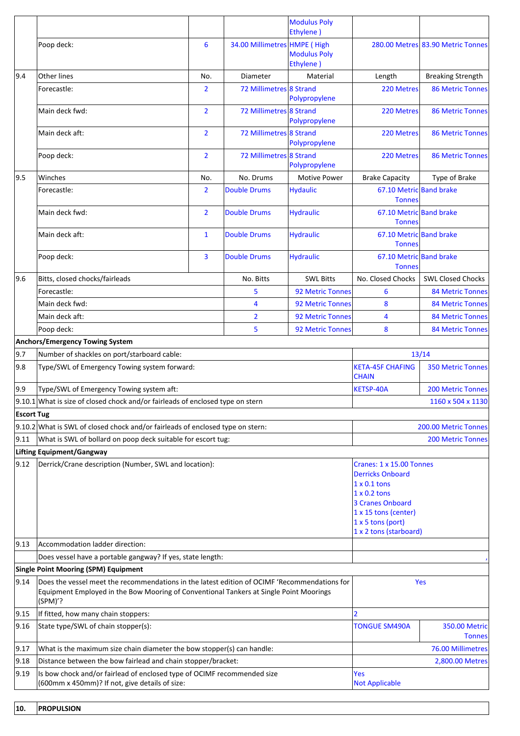| 6<br>34.00 Millimetres HMPE (High<br>Poop deck:<br>280.00 Metres 83.90 Metric Tonnes<br><b>Modulus Poly</b><br>Ethylene)<br>9.4<br>Other lines<br>Material<br>No.<br>Diameter<br>Length<br>72 Millimetres 8 Strand<br>$\overline{2}$<br>Forecastle:<br>220 Metres<br>Polypropylene<br>$\overline{2}$<br>72 Millimetres 8 Strand<br>Main deck fwd:<br>220 Metres<br>Polypropylene<br>$\overline{2}$<br>72 Millimetres 8 Strand<br>Main deck aft:<br>220 Metres<br>Polypropylene<br>72 Millimetres 8 Strand<br>$\overline{2}$<br>Poop deck:<br>220 Metres<br>Polypropylene<br>9.5<br>Winches<br>No. Drums<br><b>Motive Power</b><br><b>Brake Capacity</b><br>Type of Brake<br>No.<br>$\overline{2}$<br>67.10 Metric Band brake<br><b>Double Drums</b><br><b>Hydaulic</b><br>Forecastle:<br><b>Tonnes</b><br>$\overline{2}$<br><b>Hydraulic</b><br>67.10 Metric Band brake<br>Main deck fwd:<br><b>Double Drums</b><br><b>Tonnes</b><br><b>Hydraulic</b><br>67.10 Metric Band brake<br>Main deck aft:<br>$\mathbf{1}$<br><b>Double Drums</b><br><b>Tonnes</b><br>3<br><b>Hydraulic</b><br>67.10 Metric Band brake<br>Poop deck:<br><b>Double Drums</b><br><b>Tonnes</b><br>9.6<br>Bitts, closed chocks/fairleads<br>No. Bitts<br><b>SWL Bitts</b><br>No. Closed Chocks<br>Forecastle:<br>5<br>92 Metric Tonnes<br>6<br>8<br>Main deck fwd:<br>4<br>92 Metric Tonnes<br>$\overline{2}$<br>Main deck aft:<br><b>92 Metric Tonnes</b><br>4<br>Poop deck:<br>5<br>92 Metric Tonnes<br>8<br><b>Anchors/Emergency Towing System</b><br>9.7<br>Number of shackles on port/starboard cable:<br>13/14<br>Type/SWL of Emergency Towing system forward:<br><b>KETA-45F CHAFING</b><br><b>350 Metric Tonnes</b><br>9.8<br><b>CHAIN</b><br>9.9<br>Type/SWL of Emergency Towing system aft:<br><b>KETSP-40A</b><br>$9.10.1$ What is size of closed chock and/or fairleads of enclosed type on stern<br><b>Escort Tug</b><br>9.10.2 What is SWL of closed chock and/or fairleads of enclosed type on stern:<br>200.00 Metric Tonnes<br> 9.11 <br>What is SWL of bollard on poop deck suitable for escort tug:<br><b>200 Metric Tonnes</b><br>Lifting Equipment/Gangway<br>$ 9.12\rangle$<br>Derrick/Crane description (Number, SWL and location):<br>Cranes: 1 x 15.00 Tonnes<br><b>Derricks Onboard</b><br>$1 \times 0.1$ tons<br>$1 \times 0.2$ tons<br>3 Cranes Onboard<br>1 x 15 tons (center)<br>$1x$ 5 tons (port)<br>1 x 2 tons (starboard)<br>9.13<br>Accommodation ladder direction:<br>Does vessel have a portable gangway? If yes, state length:<br><b>Single Point Mooring (SPM) Equipment</b><br> 9.14 <br>Does the vessel meet the recommendations in the latest edition of OCIMF 'Recommendations for<br>Yes<br>Equipment Employed in the Bow Mooring of Conventional Tankers at Single Point Moorings<br>(SPM)'?<br>If fitted, how many chain stoppers:<br>$\overline{2}$<br> 9.15 <br>State type/SWL of chain stopper(s):<br> 9.16<br><b>TONGUE SM490A</b> |  |                   |  |  | <b>Modulus Poly</b><br>Ethylene) |                                       |                          |  |
|-----------------------------------------------------------------------------------------------------------------------------------------------------------------------------------------------------------------------------------------------------------------------------------------------------------------------------------------------------------------------------------------------------------------------------------------------------------------------------------------------------------------------------------------------------------------------------------------------------------------------------------------------------------------------------------------------------------------------------------------------------------------------------------------------------------------------------------------------------------------------------------------------------------------------------------------------------------------------------------------------------------------------------------------------------------------------------------------------------------------------------------------------------------------------------------------------------------------------------------------------------------------------------------------------------------------------------------------------------------------------------------------------------------------------------------------------------------------------------------------------------------------------------------------------------------------------------------------------------------------------------------------------------------------------------------------------------------------------------------------------------------------------------------------------------------------------------------------------------------------------------------------------------------------------------------------------------------------------------------------------------------------------------------------------------------------------------------------------------------------------------------------------------------------------------------------------------------------------------------------------------------------------------------------------------------------------------------------------------------------------------------------------------------------------------------------------------------------------------------------------------------------------------------------------------------------------------------------------------------------------------------------------------------------------------------------------------------------------------------------------------------------------------------------------------------------------------------------------------------------------------------------------------------------------------------------------------------|--|-------------------|--|--|----------------------------------|---------------------------------------|--------------------------|--|
|                                                                                                                                                                                                                                                                                                                                                                                                                                                                                                                                                                                                                                                                                                                                                                                                                                                                                                                                                                                                                                                                                                                                                                                                                                                                                                                                                                                                                                                                                                                                                                                                                                                                                                                                                                                                                                                                                                                                                                                                                                                                                                                                                                                                                                                                                                                                                                                                                                                                                                                                                                                                                                                                                                                                                                                                                                                                                                                                                           |  |                   |  |  |                                  |                                       |                          |  |
|                                                                                                                                                                                                                                                                                                                                                                                                                                                                                                                                                                                                                                                                                                                                                                                                                                                                                                                                                                                                                                                                                                                                                                                                                                                                                                                                                                                                                                                                                                                                                                                                                                                                                                                                                                                                                                                                                                                                                                                                                                                                                                                                                                                                                                                                                                                                                                                                                                                                                                                                                                                                                                                                                                                                                                                                                                                                                                                                                           |  |                   |  |  |                                  |                                       | <b>Breaking Strength</b> |  |
|                                                                                                                                                                                                                                                                                                                                                                                                                                                                                                                                                                                                                                                                                                                                                                                                                                                                                                                                                                                                                                                                                                                                                                                                                                                                                                                                                                                                                                                                                                                                                                                                                                                                                                                                                                                                                                                                                                                                                                                                                                                                                                                                                                                                                                                                                                                                                                                                                                                                                                                                                                                                                                                                                                                                                                                                                                                                                                                                                           |  |                   |  |  |                                  |                                       | <b>86 Metric Tonnes</b>  |  |
|                                                                                                                                                                                                                                                                                                                                                                                                                                                                                                                                                                                                                                                                                                                                                                                                                                                                                                                                                                                                                                                                                                                                                                                                                                                                                                                                                                                                                                                                                                                                                                                                                                                                                                                                                                                                                                                                                                                                                                                                                                                                                                                                                                                                                                                                                                                                                                                                                                                                                                                                                                                                                                                                                                                                                                                                                                                                                                                                                           |  |                   |  |  |                                  |                                       | <b>86 Metric Tonnes</b>  |  |
|                                                                                                                                                                                                                                                                                                                                                                                                                                                                                                                                                                                                                                                                                                                                                                                                                                                                                                                                                                                                                                                                                                                                                                                                                                                                                                                                                                                                                                                                                                                                                                                                                                                                                                                                                                                                                                                                                                                                                                                                                                                                                                                                                                                                                                                                                                                                                                                                                                                                                                                                                                                                                                                                                                                                                                                                                                                                                                                                                           |  |                   |  |  |                                  |                                       | <b>86 Metric Tonnes</b>  |  |
|                                                                                                                                                                                                                                                                                                                                                                                                                                                                                                                                                                                                                                                                                                                                                                                                                                                                                                                                                                                                                                                                                                                                                                                                                                                                                                                                                                                                                                                                                                                                                                                                                                                                                                                                                                                                                                                                                                                                                                                                                                                                                                                                                                                                                                                                                                                                                                                                                                                                                                                                                                                                                                                                                                                                                                                                                                                                                                                                                           |  |                   |  |  |                                  |                                       | <b>86 Metric Tonnes</b>  |  |
|                                                                                                                                                                                                                                                                                                                                                                                                                                                                                                                                                                                                                                                                                                                                                                                                                                                                                                                                                                                                                                                                                                                                                                                                                                                                                                                                                                                                                                                                                                                                                                                                                                                                                                                                                                                                                                                                                                                                                                                                                                                                                                                                                                                                                                                                                                                                                                                                                                                                                                                                                                                                                                                                                                                                                                                                                                                                                                                                                           |  |                   |  |  |                                  |                                       |                          |  |
|                                                                                                                                                                                                                                                                                                                                                                                                                                                                                                                                                                                                                                                                                                                                                                                                                                                                                                                                                                                                                                                                                                                                                                                                                                                                                                                                                                                                                                                                                                                                                                                                                                                                                                                                                                                                                                                                                                                                                                                                                                                                                                                                                                                                                                                                                                                                                                                                                                                                                                                                                                                                                                                                                                                                                                                                                                                                                                                                                           |  |                   |  |  |                                  |                                       |                          |  |
|                                                                                                                                                                                                                                                                                                                                                                                                                                                                                                                                                                                                                                                                                                                                                                                                                                                                                                                                                                                                                                                                                                                                                                                                                                                                                                                                                                                                                                                                                                                                                                                                                                                                                                                                                                                                                                                                                                                                                                                                                                                                                                                                                                                                                                                                                                                                                                                                                                                                                                                                                                                                                                                                                                                                                                                                                                                                                                                                                           |  |                   |  |  |                                  |                                       |                          |  |
|                                                                                                                                                                                                                                                                                                                                                                                                                                                                                                                                                                                                                                                                                                                                                                                                                                                                                                                                                                                                                                                                                                                                                                                                                                                                                                                                                                                                                                                                                                                                                                                                                                                                                                                                                                                                                                                                                                                                                                                                                                                                                                                                                                                                                                                                                                                                                                                                                                                                                                                                                                                                                                                                                                                                                                                                                                                                                                                                                           |  |                   |  |  |                                  |                                       |                          |  |
|                                                                                                                                                                                                                                                                                                                                                                                                                                                                                                                                                                                                                                                                                                                                                                                                                                                                                                                                                                                                                                                                                                                                                                                                                                                                                                                                                                                                                                                                                                                                                                                                                                                                                                                                                                                                                                                                                                                                                                                                                                                                                                                                                                                                                                                                                                                                                                                                                                                                                                                                                                                                                                                                                                                                                                                                                                                                                                                                                           |  |                   |  |  |                                  |                                       |                          |  |
|                                                                                                                                                                                                                                                                                                                                                                                                                                                                                                                                                                                                                                                                                                                                                                                                                                                                                                                                                                                                                                                                                                                                                                                                                                                                                                                                                                                                                                                                                                                                                                                                                                                                                                                                                                                                                                                                                                                                                                                                                                                                                                                                                                                                                                                                                                                                                                                                                                                                                                                                                                                                                                                                                                                                                                                                                                                                                                                                                           |  |                   |  |  |                                  |                                       | <b>SWL Closed Chocks</b> |  |
|                                                                                                                                                                                                                                                                                                                                                                                                                                                                                                                                                                                                                                                                                                                                                                                                                                                                                                                                                                                                                                                                                                                                                                                                                                                                                                                                                                                                                                                                                                                                                                                                                                                                                                                                                                                                                                                                                                                                                                                                                                                                                                                                                                                                                                                                                                                                                                                                                                                                                                                                                                                                                                                                                                                                                                                                                                                                                                                                                           |  |                   |  |  |                                  |                                       | <b>84 Metric Tonnes</b>  |  |
|                                                                                                                                                                                                                                                                                                                                                                                                                                                                                                                                                                                                                                                                                                                                                                                                                                                                                                                                                                                                                                                                                                                                                                                                                                                                                                                                                                                                                                                                                                                                                                                                                                                                                                                                                                                                                                                                                                                                                                                                                                                                                                                                                                                                                                                                                                                                                                                                                                                                                                                                                                                                                                                                                                                                                                                                                                                                                                                                                           |  |                   |  |  |                                  |                                       | <b>84 Metric Tonnes</b>  |  |
|                                                                                                                                                                                                                                                                                                                                                                                                                                                                                                                                                                                                                                                                                                                                                                                                                                                                                                                                                                                                                                                                                                                                                                                                                                                                                                                                                                                                                                                                                                                                                                                                                                                                                                                                                                                                                                                                                                                                                                                                                                                                                                                                                                                                                                                                                                                                                                                                                                                                                                                                                                                                                                                                                                                                                                                                                                                                                                                                                           |  |                   |  |  |                                  |                                       | <b>84 Metric Tonnes</b>  |  |
|                                                                                                                                                                                                                                                                                                                                                                                                                                                                                                                                                                                                                                                                                                                                                                                                                                                                                                                                                                                                                                                                                                                                                                                                                                                                                                                                                                                                                                                                                                                                                                                                                                                                                                                                                                                                                                                                                                                                                                                                                                                                                                                                                                                                                                                                                                                                                                                                                                                                                                                                                                                                                                                                                                                                                                                                                                                                                                                                                           |  |                   |  |  |                                  |                                       | <b>84 Metric Tonnes</b>  |  |
|                                                                                                                                                                                                                                                                                                                                                                                                                                                                                                                                                                                                                                                                                                                                                                                                                                                                                                                                                                                                                                                                                                                                                                                                                                                                                                                                                                                                                                                                                                                                                                                                                                                                                                                                                                                                                                                                                                                                                                                                                                                                                                                                                                                                                                                                                                                                                                                                                                                                                                                                                                                                                                                                                                                                                                                                                                                                                                                                                           |  |                   |  |  |                                  |                                       |                          |  |
|                                                                                                                                                                                                                                                                                                                                                                                                                                                                                                                                                                                                                                                                                                                                                                                                                                                                                                                                                                                                                                                                                                                                                                                                                                                                                                                                                                                                                                                                                                                                                                                                                                                                                                                                                                                                                                                                                                                                                                                                                                                                                                                                                                                                                                                                                                                                                                                                                                                                                                                                                                                                                                                                                                                                                                                                                                                                                                                                                           |  |                   |  |  |                                  |                                       |                          |  |
|                                                                                                                                                                                                                                                                                                                                                                                                                                                                                                                                                                                                                                                                                                                                                                                                                                                                                                                                                                                                                                                                                                                                                                                                                                                                                                                                                                                                                                                                                                                                                                                                                                                                                                                                                                                                                                                                                                                                                                                                                                                                                                                                                                                                                                                                                                                                                                                                                                                                                                                                                                                                                                                                                                                                                                                                                                                                                                                                                           |  |                   |  |  |                                  |                                       |                          |  |
|                                                                                                                                                                                                                                                                                                                                                                                                                                                                                                                                                                                                                                                                                                                                                                                                                                                                                                                                                                                                                                                                                                                                                                                                                                                                                                                                                                                                                                                                                                                                                                                                                                                                                                                                                                                                                                                                                                                                                                                                                                                                                                                                                                                                                                                                                                                                                                                                                                                                                                                                                                                                                                                                                                                                                                                                                                                                                                                                                           |  |                   |  |  |                                  |                                       | <b>200 Metric Tonnes</b> |  |
|                                                                                                                                                                                                                                                                                                                                                                                                                                                                                                                                                                                                                                                                                                                                                                                                                                                                                                                                                                                                                                                                                                                                                                                                                                                                                                                                                                                                                                                                                                                                                                                                                                                                                                                                                                                                                                                                                                                                                                                                                                                                                                                                                                                                                                                                                                                                                                                                                                                                                                                                                                                                                                                                                                                                                                                                                                                                                                                                                           |  | 1160 x 504 x 1130 |  |  |                                  |                                       |                          |  |
|                                                                                                                                                                                                                                                                                                                                                                                                                                                                                                                                                                                                                                                                                                                                                                                                                                                                                                                                                                                                                                                                                                                                                                                                                                                                                                                                                                                                                                                                                                                                                                                                                                                                                                                                                                                                                                                                                                                                                                                                                                                                                                                                                                                                                                                                                                                                                                                                                                                                                                                                                                                                                                                                                                                                                                                                                                                                                                                                                           |  |                   |  |  |                                  |                                       |                          |  |
|                                                                                                                                                                                                                                                                                                                                                                                                                                                                                                                                                                                                                                                                                                                                                                                                                                                                                                                                                                                                                                                                                                                                                                                                                                                                                                                                                                                                                                                                                                                                                                                                                                                                                                                                                                                                                                                                                                                                                                                                                                                                                                                                                                                                                                                                                                                                                                                                                                                                                                                                                                                                                                                                                                                                                                                                                                                                                                                                                           |  |                   |  |  |                                  |                                       |                          |  |
|                                                                                                                                                                                                                                                                                                                                                                                                                                                                                                                                                                                                                                                                                                                                                                                                                                                                                                                                                                                                                                                                                                                                                                                                                                                                                                                                                                                                                                                                                                                                                                                                                                                                                                                                                                                                                                                                                                                                                                                                                                                                                                                                                                                                                                                                                                                                                                                                                                                                                                                                                                                                                                                                                                                                                                                                                                                                                                                                                           |  |                   |  |  |                                  |                                       |                          |  |
|                                                                                                                                                                                                                                                                                                                                                                                                                                                                                                                                                                                                                                                                                                                                                                                                                                                                                                                                                                                                                                                                                                                                                                                                                                                                                                                                                                                                                                                                                                                                                                                                                                                                                                                                                                                                                                                                                                                                                                                                                                                                                                                                                                                                                                                                                                                                                                                                                                                                                                                                                                                                                                                                                                                                                                                                                                                                                                                                                           |  |                   |  |  |                                  |                                       |                          |  |
|                                                                                                                                                                                                                                                                                                                                                                                                                                                                                                                                                                                                                                                                                                                                                                                                                                                                                                                                                                                                                                                                                                                                                                                                                                                                                                                                                                                                                                                                                                                                                                                                                                                                                                                                                                                                                                                                                                                                                                                                                                                                                                                                                                                                                                                                                                                                                                                                                                                                                                                                                                                                                                                                                                                                                                                                                                                                                                                                                           |  |                   |  |  |                                  |                                       |                          |  |
|                                                                                                                                                                                                                                                                                                                                                                                                                                                                                                                                                                                                                                                                                                                                                                                                                                                                                                                                                                                                                                                                                                                                                                                                                                                                                                                                                                                                                                                                                                                                                                                                                                                                                                                                                                                                                                                                                                                                                                                                                                                                                                                                                                                                                                                                                                                                                                                                                                                                                                                                                                                                                                                                                                                                                                                                                                                                                                                                                           |  |                   |  |  |                                  |                                       |                          |  |
|                                                                                                                                                                                                                                                                                                                                                                                                                                                                                                                                                                                                                                                                                                                                                                                                                                                                                                                                                                                                                                                                                                                                                                                                                                                                                                                                                                                                                                                                                                                                                                                                                                                                                                                                                                                                                                                                                                                                                                                                                                                                                                                                                                                                                                                                                                                                                                                                                                                                                                                                                                                                                                                                                                                                                                                                                                                                                                                                                           |  |                   |  |  |                                  |                                       |                          |  |
|                                                                                                                                                                                                                                                                                                                                                                                                                                                                                                                                                                                                                                                                                                                                                                                                                                                                                                                                                                                                                                                                                                                                                                                                                                                                                                                                                                                                                                                                                                                                                                                                                                                                                                                                                                                                                                                                                                                                                                                                                                                                                                                                                                                                                                                                                                                                                                                                                                                                                                                                                                                                                                                                                                                                                                                                                                                                                                                                                           |  |                   |  |  |                                  |                                       |                          |  |
|                                                                                                                                                                                                                                                                                                                                                                                                                                                                                                                                                                                                                                                                                                                                                                                                                                                                                                                                                                                                                                                                                                                                                                                                                                                                                                                                                                                                                                                                                                                                                                                                                                                                                                                                                                                                                                                                                                                                                                                                                                                                                                                                                                                                                                                                                                                                                                                                                                                                                                                                                                                                                                                                                                                                                                                                                                                                                                                                                           |  |                   |  |  |                                  |                                       |                          |  |
|                                                                                                                                                                                                                                                                                                                                                                                                                                                                                                                                                                                                                                                                                                                                                                                                                                                                                                                                                                                                                                                                                                                                                                                                                                                                                                                                                                                                                                                                                                                                                                                                                                                                                                                                                                                                                                                                                                                                                                                                                                                                                                                                                                                                                                                                                                                                                                                                                                                                                                                                                                                                                                                                                                                                                                                                                                                                                                                                                           |  |                   |  |  |                                  | <b>350.00 Metric</b><br><b>Tonnes</b> |                          |  |
| 9.17<br>What is the maximum size chain diameter the bow stopper(s) can handle:                                                                                                                                                                                                                                                                                                                                                                                                                                                                                                                                                                                                                                                                                                                                                                                                                                                                                                                                                                                                                                                                                                                                                                                                                                                                                                                                                                                                                                                                                                                                                                                                                                                                                                                                                                                                                                                                                                                                                                                                                                                                                                                                                                                                                                                                                                                                                                                                                                                                                                                                                                                                                                                                                                                                                                                                                                                                            |  |                   |  |  |                                  |                                       | 76.00 Millimetres        |  |
| 9.18<br>Distance between the bow fairlead and chain stopper/bracket:                                                                                                                                                                                                                                                                                                                                                                                                                                                                                                                                                                                                                                                                                                                                                                                                                                                                                                                                                                                                                                                                                                                                                                                                                                                                                                                                                                                                                                                                                                                                                                                                                                                                                                                                                                                                                                                                                                                                                                                                                                                                                                                                                                                                                                                                                                                                                                                                                                                                                                                                                                                                                                                                                                                                                                                                                                                                                      |  |                   |  |  |                                  |                                       | 2,800.00 Metres          |  |
| 9.19<br>Is bow chock and/or fairlead of enclosed type of OCIMF recommended size<br><b>Yes</b><br>(600mm x 450mm)? If not, give details of size:<br><b>Not Applicable</b>                                                                                                                                                                                                                                                                                                                                                                                                                                                                                                                                                                                                                                                                                                                                                                                                                                                                                                                                                                                                                                                                                                                                                                                                                                                                                                                                                                                                                                                                                                                                                                                                                                                                                                                                                                                                                                                                                                                                                                                                                                                                                                                                                                                                                                                                                                                                                                                                                                                                                                                                                                                                                                                                                                                                                                                  |  |                   |  |  |                                  |                                       |                          |  |